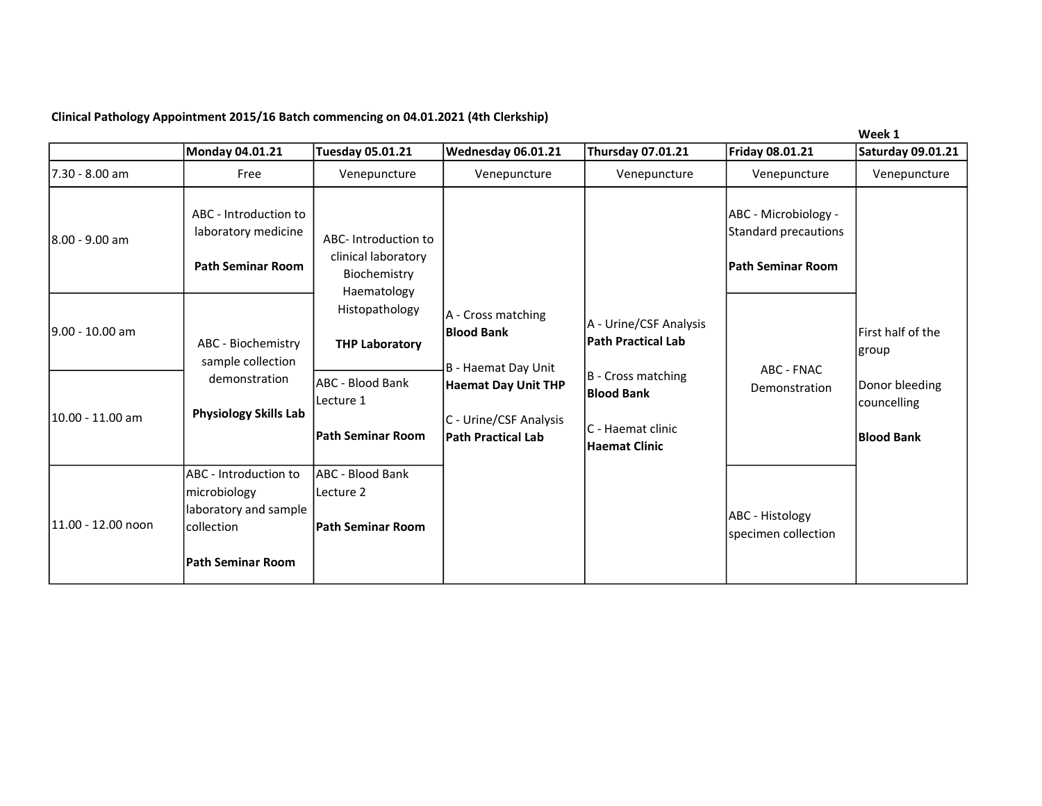## Clinical Pathology Appointment 2015/16 Batch commencing on 04.01.2021 (4th Clerkship)

|                     |                                                                                          |                                                                           |                                                                                                                                              |                                                                                                                      |                                              | Week 1                                                                            |
|---------------------|------------------------------------------------------------------------------------------|---------------------------------------------------------------------------|----------------------------------------------------------------------------------------------------------------------------------------------|----------------------------------------------------------------------------------------------------------------------|----------------------------------------------|-----------------------------------------------------------------------------------|
|                     | Monday 04.01.21                                                                          | Tuesday 05.01.21                                                          | Wednesday 06.01.21                                                                                                                           | <b>Thursday 07.01.21</b>                                                                                             | Friday 08.01.21                              | <b>Saturday 09.01.21</b>                                                          |
| l7.30 - 8.00 am     | Free                                                                                     | Venepuncture                                                              | Venepuncture                                                                                                                                 | Venepuncture                                                                                                         | Venepuncture                                 | Venepuncture                                                                      |
| 8.00 - 9.00 am      | ABC - Introduction to<br>laboratory medicine                                             | ABC-Introduction to<br>clinical laboratory<br>Biochemistry<br>Haematology |                                                                                                                                              |                                                                                                                      | ABC - Microbiology -<br>Standard precautions |                                                                                   |
|                     | <b>Path Seminar Room</b>                                                                 |                                                                           |                                                                                                                                              |                                                                                                                      | <b>Path Seminar Room</b>                     |                                                                                   |
| l9.00 - 10.00 am    | ABC - Biochemistry<br>sample collection<br>demonstration<br><b>Physiology Skills Lab</b> | Histopathology<br><b>THP Laboratory</b>                                   | A - Cross matching<br><b>Blood Bank</b><br>B - Haemat Day Unit<br><b>Haemat Day Unit THP</b><br>C - Urine/CSF Analysis<br>Path Practical Lab | A - Urine/CSF Analysis<br><b>Path Practical Lab</b><br>B - Cross matching<br><b>Blood Bank</b><br>lC - Haemat clinic | ABC - FNAC<br>Demonstration                  | First half of the<br> group<br>Donor bleeding<br>councelling<br><b>Blood Bank</b> |
| l10.00 - 11.00 am   |                                                                                          | ABC - Blood Bank<br>Lecture 1<br><b>Path Seminar Room</b>                 |                                                                                                                                              |                                                                                                                      |                                              |                                                                                   |
|                     |                                                                                          |                                                                           |                                                                                                                                              | <b>Haemat Clinic</b>                                                                                                 |                                              |                                                                                   |
| l11.00 - 12.00 noon | ABC - Introduction to<br>microbiology                                                    | lABC - Blood Bank<br>lLecture 2<br><b>Path Seminar Room</b>               |                                                                                                                                              |                                                                                                                      |                                              |                                                                                   |
|                     | laboratory and sample<br>collection                                                      |                                                                           |                                                                                                                                              |                                                                                                                      | ABC - Histology<br>specimen collection       |                                                                                   |
|                     | <b>Path Seminar Room</b>                                                                 |                                                                           |                                                                                                                                              |                                                                                                                      |                                              |                                                                                   |